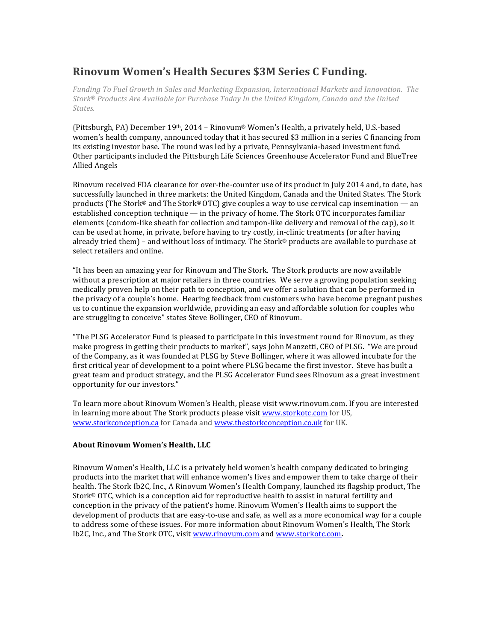# **Rinovum Women's Health Secures \$3M Series C Funding.**

Funding To Fuel Growth in Sales and Marketing *Expansion, International Markets* and Innovation. The *Stork® Products Are Available for Purchase Today In the United Kingdom, Canada and the United States.*

(Pittsburgh, PA) December 19<sup>th</sup>, 2014 - Rinovum® Women's Health, a privately held, U.S.-based women's health company, announced today that it has secured \$3 million in a series C financing from its existing investor base. The round was led by a private, Pennsylvania-based investment fund. Other participants included the Pittsburgh Life Sciences Greenhouse Accelerator Fund and BlueTree Allied Angels 

Rinovum received FDA clearance for over-the-counter use of its product in July 2014 and, to date, has successfully launched in three markets: the United Kingdom, Canada and the United States. The Stork products (The Stork® and The Stork® OTC) give couples a way to use cervical cap insemination — an established conception technique — in the privacy of home. The Stork OTC incorporates familiar elements (condom-like sheath for collection and tampon-like delivery and removal of the cap), so it can be used at home, in private, before having to try costly, in-clinic treatments (or after having already tried them) – and without loss of intimacy. The Stork<sup>®</sup> products are available to purchase at select retailers and online.

"It has been an amazing year for Rinovum and The Stork. The Stork products are now available without a prescription at major retailers in three countries. We serve a growing population seeking medically proven help on their path to conception, and we offer a solution that can be performed in the privacy of a couple's home. Hearing feedback from customers who have become pregnant pushes us to continue the expansion worldwide, providing an easy and affordable solution for couples who are struggling to conceive" states Steve Bollinger, CEO of Rinovum.

"The PLSG Accelerator Fund is pleased to participate in this investment round for Rinovum, as they make progress in getting their products to market", says John Manzetti, CEO of PLSG. "We are proud of the Company, as it was founded at PLSG by Steve Bollinger, where it was allowed incubate for the first critical year of development to a point where PLSG became the first investor. Steve has built a great team and product strategy, and the PLSG Accelerator Fund sees Rinovum as a great investment opportunity for our investors."

To learn more about Rinovum Women's Health, please visit www.rinovum.com. If you are interested in learning more about The Stork products please visit www.storkotc.com for US, www.storkconception.ca for Canada and www.thestorkconception.co.uk for UK.

# **About Rinovum Women's Health, LLC**

Rinovum Women's Health, LLC is a privately held women's health company dedicated to bringing products into the market that will enhance women's lives and empower them to take charge of their health. The Stork Ib2C, Inc., A Rinovum Women's Health Company, launched its flagship product, The Stork® OTC, which is a conception aid for reproductive health to assist in natural fertility and conception in the privacy of the patient's home. Rinovum Women's Health aims to support the development of products that are easy-to-use and safe, as well as a more economical way for a couple to address some of these issues. For more information about Rinovum Women's Health, The Stork Ib2C, Inc., and The Stork OTC, visit www.rinovum.com and www.storkotc.com.